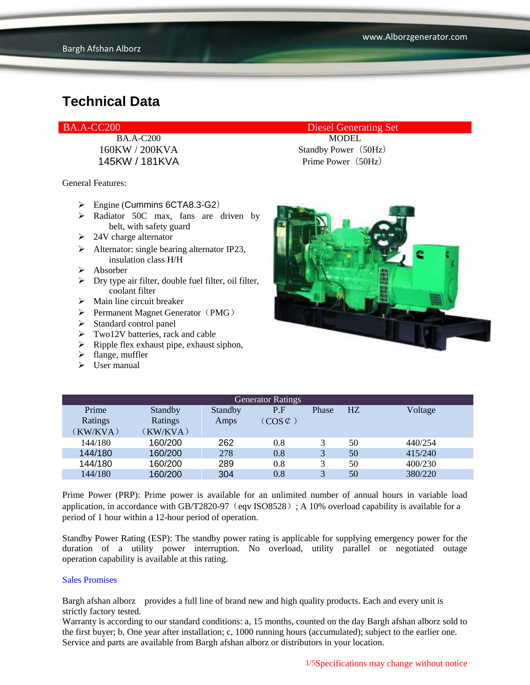General Features:

- $\triangleright$  Engine (Cummins 6CTA8.3-G2)
- $\triangleright$  Radiator 50C max, fans are driven by belt, with safety guard
- $\geq$  24V charge alternator
- $\triangleright$  Alternator: single bearing alternator IP23, insulation class H/H
- $\triangleright$  Absorber
- $\triangleright$  Dry type air filter, double fuel filter, oil filter, coolant filter
- $\triangleright$  Main line circuit breaker
- $\triangleright$  Permanent Magnet Generator (PMG)
- $\blacktriangleright$  Standard control panel
- $\triangleright$  Two12V batteries, rack and cable
- $\triangleright$  Ripple flex exhaust pipe, exhaust siphon,
- $\blacktriangleright$  flange, muffler
- $\triangleright$  User manual

BA.A-CC200 Diesel Generating Set

BA.A-C200 MODEL 160KW / 200KVA Standby Power(50Hz) 145KW / 181KVA Prime Power (50Hz)



| <b>Generator Ratings</b> |          |         |                     |              |                |         |
|--------------------------|----------|---------|---------------------|--------------|----------------|---------|
| Prime                    | Standby  | Standby | P.F                 | Phase        | H <sub>Z</sub> | Voltage |
| Ratings                  | Ratings  | Amps    | $(COS \mathcal{C})$ |              |                |         |
| (KW/KVA)                 | (KW/KVA) |         |                     |              |                |         |
| 144/180                  | 160/200  | 262     | 0.8                 |              | 50             | 440/254 |
| 144/180                  | 160/200  | 278     | 0.8                 | 3            | 50             | 415/240 |
| 144/180                  | 160/200  | 289     | 0.8                 |              | 50             | 400/230 |
| 144/180                  | 160/200  | 304     | 0.8                 | $\mathbf{R}$ | 50             | 380/220 |

Prime Power (PRP): Prime power is available for an unlimited number of annual hours in variable load application, in accordance with GB/T2820-97 (eqv ISO8528); A 10% overload capability is available for a period of 1 hour within a 12-hour period of operation.

Standby Power Rating (ESP): The standby power rating is applicable for supplying emergency power for the duration of a utility power interruption. No overload, utility parallel or negotiated outage operation capability is available at this rating.

#### Sales Promises

Bargh afshan alborz provides a full line of brand new and high quality products. Each and every unit is strictly factory tested.

Warranty is according to our standard conditions: a, 15 months, counted on the day Bargh afshan alborz sold to the first buyer; b, One year after installation; c, 1000 running hours (accumulated); subject to the earlier one. Service and parts are available from Bargh afshan alborz or distributors in your location.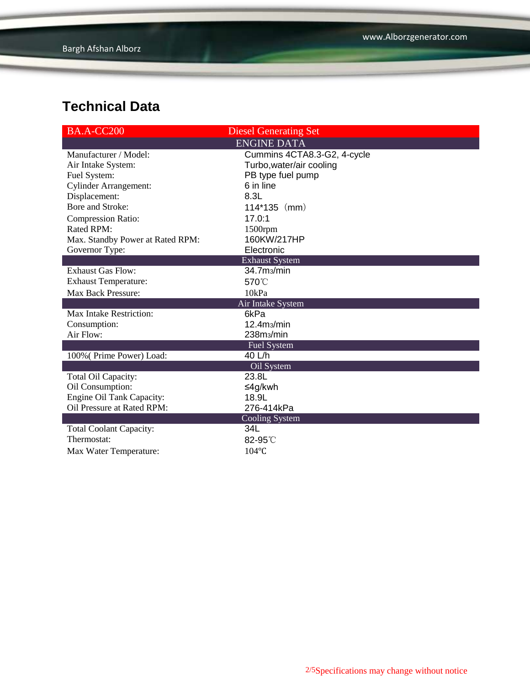| <b>BA.A-CC200</b>                | <b>Diesel Generating Set</b> |  |  |  |
|----------------------------------|------------------------------|--|--|--|
|                                  | <b>ENGINE DATA</b>           |  |  |  |
| Manufacturer / Model:            | Cummins 4CTA8.3-G2, 4-cycle  |  |  |  |
| Air Intake System:               | Turbo, water/air cooling     |  |  |  |
| Fuel System:                     | PB type fuel pump            |  |  |  |
| <b>Cylinder Arrangement:</b>     | 6 in line                    |  |  |  |
| Displacement:                    | 8.3L                         |  |  |  |
| Bore and Stroke:                 | $114*135$ (mm)               |  |  |  |
| <b>Compression Ratio:</b>        | 17.0:1                       |  |  |  |
| Rated RPM:                       | 1500rpm                      |  |  |  |
| Max. Standby Power at Rated RPM: | 160KW/217HP                  |  |  |  |
| Governor Type:                   | Electronic                   |  |  |  |
|                                  | <b>Exhaust System</b>        |  |  |  |
| <b>Exhaust Gas Flow:</b>         | 34.7 <sub>ms</sub> /min      |  |  |  |
| <b>Exhaust Temperature:</b>      | 570°C                        |  |  |  |
| <b>Max Back Pressure:</b>        | 10kPa                        |  |  |  |
| Air Intake System                |                              |  |  |  |
| Max Intake Restriction:          | 6kPa                         |  |  |  |
| Consumption:                     | 12.4 <sub>ms</sub> /min      |  |  |  |
| Air Flow:                        | 238m <sub>3</sub> /min       |  |  |  |
|                                  | <b>Fuel System</b>           |  |  |  |
| 100% (Prime Power) Load:         | 40 L/h                       |  |  |  |
|                                  | Oil System                   |  |  |  |
| Total Oil Capacity:              | 23.8L                        |  |  |  |
| Oil Consumption:                 | ≤4g/kwh                      |  |  |  |
| Engine Oil Tank Capacity:        | 18.9L                        |  |  |  |
| Oil Pressure at Rated RPM:       | 276-414kPa                   |  |  |  |
|                                  | <b>Cooling System</b>        |  |  |  |
| <b>Total Coolant Capacity:</b>   | 34L                          |  |  |  |
| Thermostat:                      | 82-95°C                      |  |  |  |
| Max Water Temperature:           | 104°C                        |  |  |  |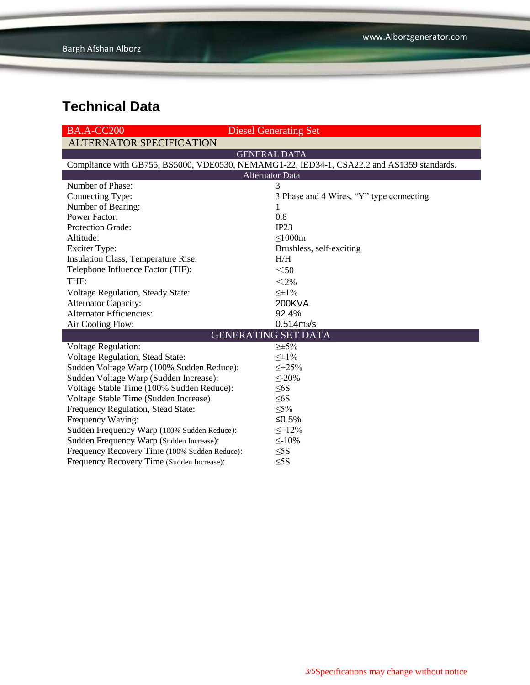| <b>BA.A-CC200</b>                                                                          | <b>Diesel Generating Set</b>             |  |  |  |  |
|--------------------------------------------------------------------------------------------|------------------------------------------|--|--|--|--|
| <b>ALTERNATOR SPECIFICATION</b>                                                            |                                          |  |  |  |  |
|                                                                                            | <b>GENERAL DATA</b>                      |  |  |  |  |
| Compliance with GB755, BS5000, VDE0530, NEMAMG1-22, IED34-1, CSA22.2 and AS1359 standards. |                                          |  |  |  |  |
| <b>Alternator Data</b>                                                                     |                                          |  |  |  |  |
| Number of Phase:                                                                           | 3                                        |  |  |  |  |
| Connecting Type:                                                                           | 3 Phase and 4 Wires, "Y" type connecting |  |  |  |  |
| Number of Bearing:                                                                         | 1                                        |  |  |  |  |
| <b>Power Factor:</b>                                                                       | 0.8                                      |  |  |  |  |
| Protection Grade:                                                                          | IP23                                     |  |  |  |  |
| Altitude:                                                                                  | $\leq$ 1000m                             |  |  |  |  |
| <b>Exciter Type:</b>                                                                       | Brushless, self-exciting                 |  |  |  |  |
| Insulation Class, Temperature Rise:                                                        | H/H                                      |  |  |  |  |
| Telephone Influence Factor (TIF):                                                          | $50$                                     |  |  |  |  |
| THF:                                                                                       | $<$ 2%                                   |  |  |  |  |
| Voltage Regulation, Steady State:                                                          | $\leq \pm 1\%$                           |  |  |  |  |
| <b>Alternator Capacity:</b>                                                                | <b>200KVA</b>                            |  |  |  |  |
| <b>Alternator Efficiencies:</b>                                                            | 92.4%                                    |  |  |  |  |
| Air Cooling Flow:                                                                          | $0.514 \, \text{m}$ <sub>3</sub> /s      |  |  |  |  |
|                                                                                            | <b>GENERATING SET DATA</b>               |  |  |  |  |
| <b>Voltage Regulation:</b>                                                                 | $\geq \pm 5\%$                           |  |  |  |  |
| Voltage Regulation, Stead State:                                                           | $\leq \pm 1\%$                           |  |  |  |  |
| Sudden Voltage Warp (100% Sudden Reduce):                                                  | $\leq +25\%$                             |  |  |  |  |
| Sudden Voltage Warp (Sudden Increase):                                                     | $\leq$ -20%                              |  |  |  |  |
| Voltage Stable Time (100% Sudden Reduce):                                                  | $\leq 6S$                                |  |  |  |  |
| Voltage Stable Time (Sudden Increase)                                                      | $\leq 6S$                                |  |  |  |  |
| Frequency Regulation, Stead State:                                                         | $\leq 5\%$                               |  |  |  |  |
| Frequency Waving:                                                                          | ≤ $0.5%$                                 |  |  |  |  |
| Sudden Frequency Warp (100% Sudden Reduce):                                                | $\leq +12\%$                             |  |  |  |  |
| Sudden Frequency Warp (Sudden Increase):                                                   | $\leq$ -10%                              |  |  |  |  |
| Frequency Recovery Time (100% Sudden Reduce):                                              | $\leq$ 5S                                |  |  |  |  |
| Frequency Recovery Time (Sudden Increase):                                                 | $\leq$ 5S                                |  |  |  |  |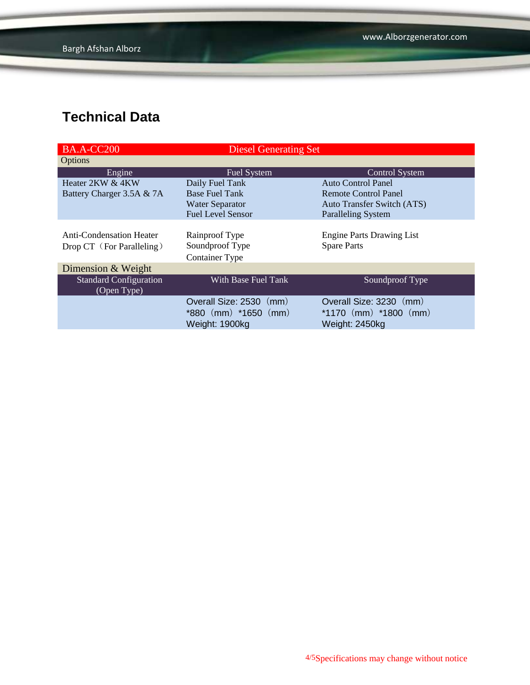| <b>Diesel Generating Set</b> |                                   |  |  |
|------------------------------|-----------------------------------|--|--|
|                              |                                   |  |  |
| Fuel System                  | <b>Control System</b>             |  |  |
| Daily Fuel Tank              | <b>Auto Control Panel</b>         |  |  |
| <b>Base Fuel Tank</b>        | Remote Control Panel              |  |  |
| <b>Water Separator</b>       | <b>Auto Transfer Switch (ATS)</b> |  |  |
| <b>Fuel Level Sensor</b>     | <b>Paralleling System</b>         |  |  |
|                              |                                   |  |  |
| Rainproof Type               | <b>Engine Parts Drawing List</b>  |  |  |
| Soundproof Type              | <b>Spare Parts</b>                |  |  |
| <b>Container Type</b>        |                                   |  |  |
| Dimension & Weight           |                                   |  |  |
| With Base Fuel Tank          | Soundproof Type                   |  |  |
|                              |                                   |  |  |
| Overall Size: 2530 (mm)      | Overall Size: 3230 (mm)           |  |  |
| $*880$ (mm) $*1650$ (mm)     | *1170 $(mm)$ *1800 $(mm)$         |  |  |
| Weight: 1900kg               | Weight: 2450kg                    |  |  |
|                              |                                   |  |  |